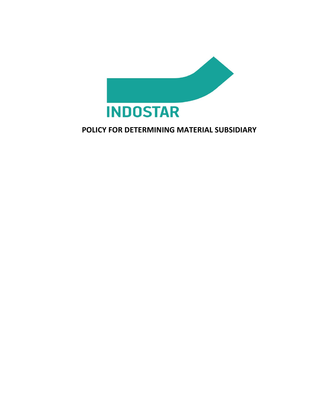

# **POLICY FOR DETERMINING MATERIAL SUBSIDIARY**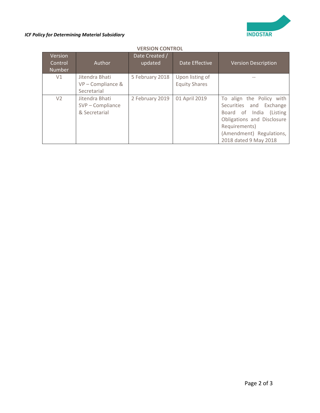

#### *ICF Policy for Determining Material Subsidiary*

| Version<br>Control<br><b>Number</b> | <b>Author</b>                                       | Date Created /<br>updated | Date Effective                          | <b>Version Description</b>                                                                                                                                                         |
|-------------------------------------|-----------------------------------------------------|---------------------------|-----------------------------------------|------------------------------------------------------------------------------------------------------------------------------------------------------------------------------------|
| V1                                  | Jitendra Bhati<br>VP-Compliance &<br>Secretarial    | 5 February 2018           | Upon listing of<br><b>Equity Shares</b> |                                                                                                                                                                                    |
| V <sub>2</sub>                      | Jitendra Bhati<br>SVP - Compliance<br>& Secretarial | 2 February 2019           | 01 April 2019                           | To align the Policy with<br>Securities and Exchange<br>Board of India (Listing<br>Obligations and Disclosure<br>Requirements)<br>(Amendment) Regulations,<br>2018 dated 9 May 2018 |

## **VERSION CONTROL**